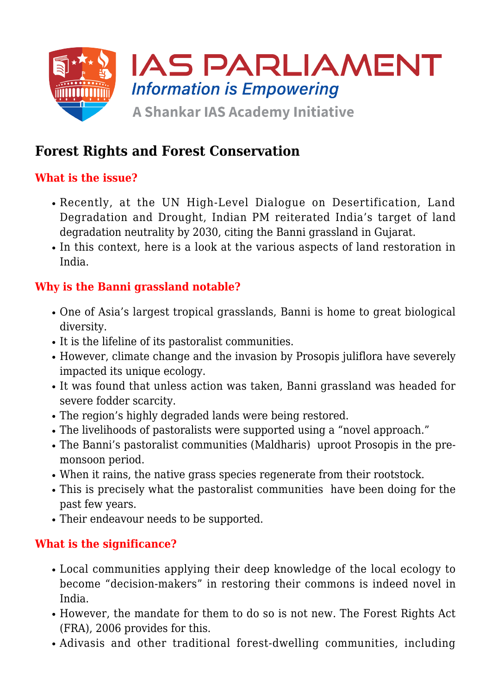

# **Forest Rights and Forest Conservation**

## **What is the issue?**

- Recently, at the UN High-Level Dialogue on Desertification, Land Degradation and Drought, Indian PM reiterated India's target of land degradation neutrality by 2030, citing the Banni grassland in Gujarat.
- In this context, here is a look at the various aspects of land restoration in India.

### **Why is the Banni grassland notable?**

- One of Asia's largest tropical grasslands, Banni is home to great biological diversity.
- It is the lifeline of its pastoralist communities.
- However, climate change and the invasion by Prosopis juliflora have severely impacted its unique ecology.
- It was found that unless action was taken, Banni grassland was headed for severe fodder scarcity.
- The region's highly degraded lands were being restored.
- The livelihoods of pastoralists were supported using a "novel approach."
- The Banni's pastoralist communities (Maldharis) uproot Prosopis in the premonsoon period.
- When it rains, the native grass species regenerate from their rootstock.
- This is precisely what the pastoralist communities have been doing for the past few years.
- Their endeavour needs to be supported.

## **What is the significance?**

- Local communities applying their deep knowledge of the local ecology to become "decision-makers" in restoring their commons is indeed novel in India.
- However, the mandate for them to do so is not new. The Forest Rights Act (FRA), 2006 provides for this.
- Adivasis and other traditional forest-dwelling communities, including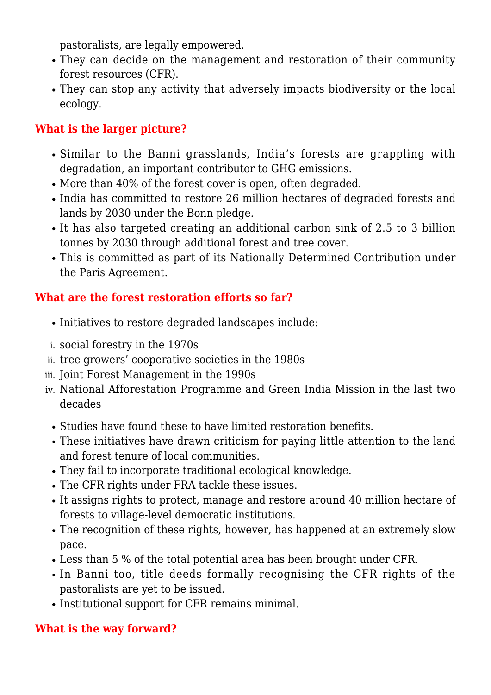pastoralists, are legally empowered.

- They can decide on the management and restoration of their community forest resources (CFR).
- They can stop any activity that adversely impacts biodiversity or the local ecology.

# **What is the larger picture?**

- Similar to the Banni grasslands, India's forests are grappling with degradation, an important contributor to GHG emissions.
- More than 40% of the forest cover is open, often degraded.
- India has committed to restore 26 million hectares of degraded forests and lands by 2030 under the Bonn pledge.
- It has also targeted creating an additional carbon sink of 2.5 to 3 billion tonnes by 2030 through additional forest and tree cover.
- This is committed as part of its Nationally Determined Contribution under the Paris Agreement.

## **What are the forest restoration efforts so far?**

- $\bullet$  Initiatives to restore degraded landscapes include:
- i. social forestry in the 1970s
- ii. tree growers' cooperative societies in the 1980s
- iii. Joint Forest Management in the 1990s
- iv. National Afforestation Programme and Green India Mission in the last two decades
	- Studies have found these to have limited restoration benefits.
	- These initiatives have drawn criticism for paying little attention to the land and forest tenure of local communities.
	- They fail to incorporate traditional ecological knowledge.
	- The CFR rights under FRA tackle these issues.
	- It assigns rights to protect, manage and restore around 40 million hectare of forests to village-level democratic institutions.
	- The recognition of these rights, however, has happened at an extremely slow pace.
	- Less than 5 % of the total potential area has been brought under CFR.
	- In Banni too, title deeds formally recognising the CFR rights of the pastoralists are yet to be issued.
	- Institutional support for CFR remains minimal.

## **What is the way forward?**